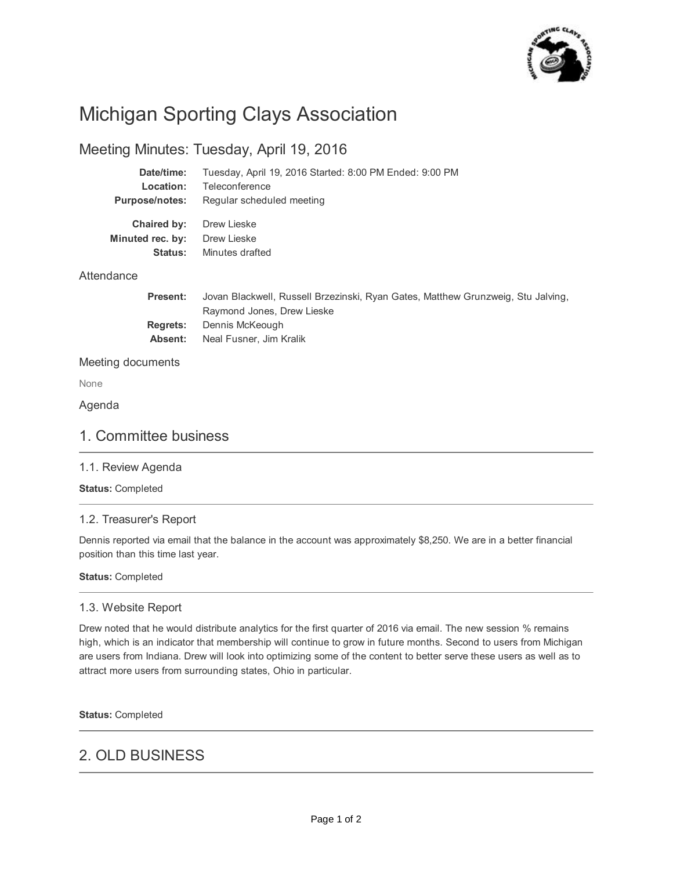

# Michigan Sporting Clays Association

# Meeting Minutes: Tuesday, April 19, 2016

| Date/time:            | Tuesday, April 19, 2016 Started: 8:00 PM Ended: 9:00 PM                                                       |
|-----------------------|---------------------------------------------------------------------------------------------------------------|
| Location:             | Teleconference                                                                                                |
| <b>Purpose/notes:</b> | Regular scheduled meeting                                                                                     |
| Chaired by:           | Drew Lieske                                                                                                   |
| Minuted rec. by:      | Drew Lieske                                                                                                   |
| Status:               | Minutes drafted                                                                                               |
| Attendance            |                                                                                                               |
| <b>Present:</b>       | Jovan Blackwell, Russell Brzezinski, Ryan Gates, Matthew Grunzweig, Stu Jalving,<br>Paymond Jonge Draw Ligeka |

| Raymond Jones, Drew Lieske             |
|----------------------------------------|
| <b>Regrets:</b> Dennis McKeough        |
| <b>Absent:</b> Neal Fusner, Jim Kralik |

### Meeting documents

None

### Agenda

### 1. Committee business

### 1.1. Review Agenda

### **Status:** Completed

### 1.2. Treasurer's Report

Dennis reported via email that the balance in the account was approximately \$8,250. We are in a better financial position than this time last year.

### **Status:** Completed

### 1.3. Website Report

Drew noted that he would distribute analytics for the first quarter of 2016 via email. The new session % remains high, which is an indicator that membership will continue to grow in future months. Second to users from Michigan are users from Indiana. Drew will look into optimizing some of the content to better serve these users as well as to attract more users from surrounding states, Ohio in particular.

### **Status:** Completed

# 2. OLD BUSINESS